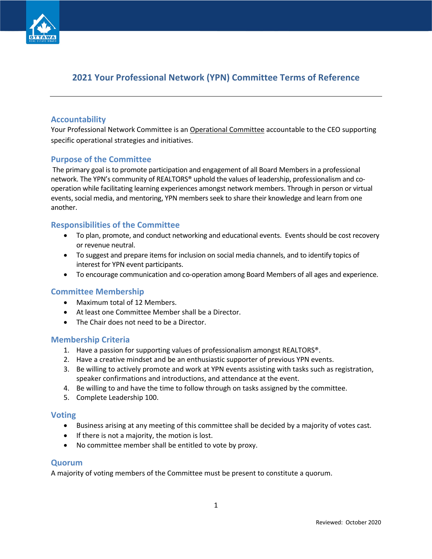

# **2021 Your Professional Network (YPN) Committee Terms of Reference**

## **Accountability**

Your Professional Network Committee is an Operational Committee accountable to the CEO supporting specific operational strategies and initiatives.

## **Purpose of the Committee**

The primary goal is to promote participation and engagement of all Board Members in a professional network. The YPN's community of REALTORS® uphold the values of leadership, professionalism and cooperation while facilitating learning experiences amongst network members. Through in person or virtual events, social media, and mentoring, YPN members seek to share their knowledge and learn from one another.

## **Responsibilities of the Committee**

- To plan, promote, and conduct networking and educational events. Events should be cost recovery or revenue neutral.
- To suggest and prepare items for inclusion on social media channels, and to identify topics of interest for YPN event participants.
- To encourage communication and co-operation among Board Members of all ages and experience.

#### **Committee Membership**

- Maximum total of 12 Members.
- At least one Committee Member shall be a Director.
- The Chair does not need to be a Director.

#### **Membership Criteria**

- 1. Have a passion for supporting values of professionalism amongst REALTORS®.
- 2. Have a creative mindset and be an enthusiastic supporter of previous YPN events.
- 3. Be willing to actively promote and work at YPN events assisting with tasks such as registration, speaker confirmations and introductions, and attendance at the event.
- 4. Be willing to and have the time to follow through on tasks assigned by the committee.
- 5. Complete Leadership 100.

#### **Voting**

- Business arising at any meeting of this committee shall be decided by a majority of votes cast.
- If there is not a majority, the motion is lost.
- No committee member shall be entitled to vote by proxy.

#### **Quorum**

A majority of voting members of the Committee must be present to constitute a quorum.